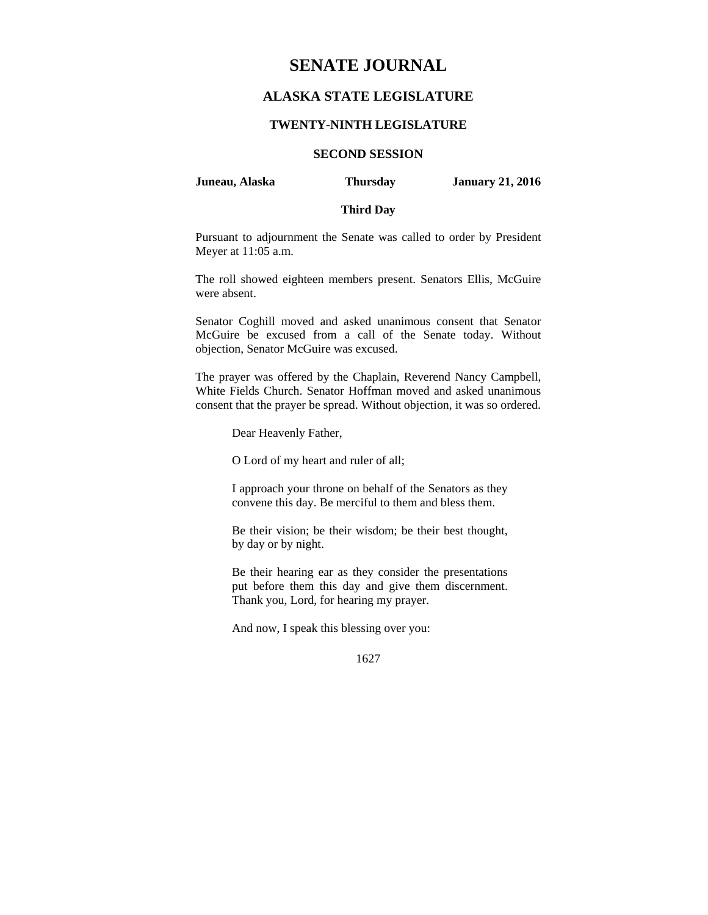# **SENATE JOURNAL**

## **ALASKA STATE LEGISLATURE**

## **TWENTY-NINTH LEGISLATURE**

## **SECOND SESSION**

**Juneau, Alaska Thursday January 21, 2016** 

## **Third Day**

Pursuant to adjournment the Senate was called to order by President Meyer at 11:05 a.m.

The roll showed eighteen members present. Senators Ellis, McGuire were absent.

Senator Coghill moved and asked unanimous consent that Senator McGuire be excused from a call of the Senate today. Without objection, Senator McGuire was excused.

The prayer was offered by the Chaplain, Reverend Nancy Campbell, White Fields Church. Senator Hoffman moved and asked unanimous consent that the prayer be spread. Without objection, it was so ordered.

Dear Heavenly Father,

O Lord of my heart and ruler of all;

I approach your throne on behalf of the Senators as they convene this day. Be merciful to them and bless them.

Be their vision; be their wisdom; be their best thought, by day or by night.

Be their hearing ear as they consider the presentations put before them this day and give them discernment. Thank you, Lord, for hearing my prayer.

And now, I speak this blessing over you:

<sup>1627</sup>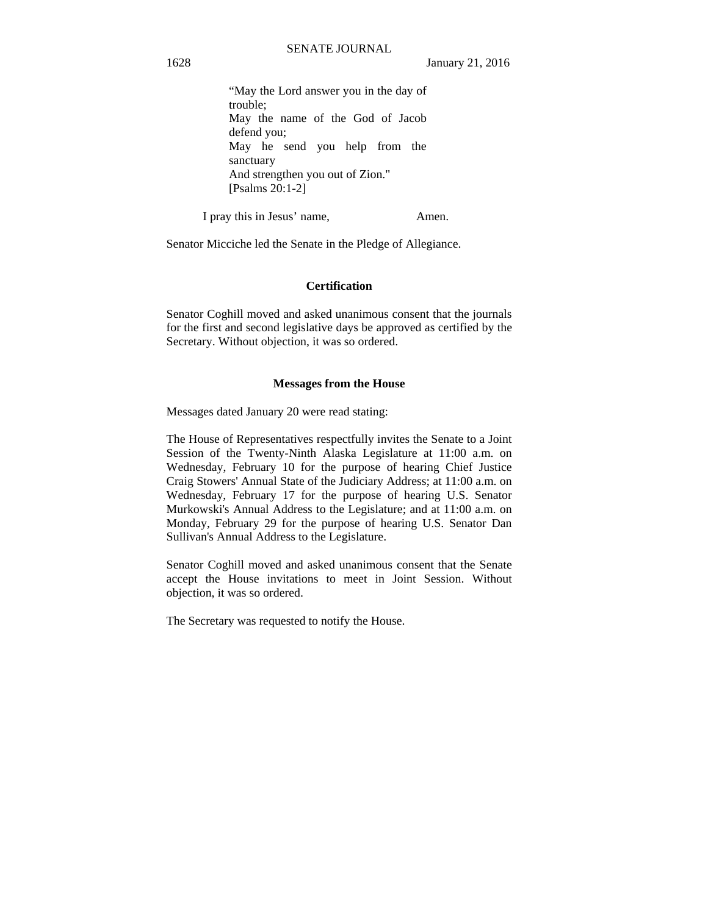```
"May the Lord answer you in the day of 
trouble; 
May the name of the God of Jacob 
defend you; 
May he send you help from the 
sanctuary 
And strengthen you out of Zion." 
[Psalms 20:1-2]
```
I pray this in Jesus' name, Amen.

Senator Micciche led the Senate in the Pledge of Allegiance.

## **Certification**

Senator Coghill moved and asked unanimous consent that the journals for the first and second legislative days be approved as certified by the Secretary. Without objection, it was so ordered.

## **Messages from the House**

Messages dated January 20 were read stating:

The House of Representatives respectfully invites the Senate to a Joint Session of the Twenty-Ninth Alaska Legislature at 11:00 a.m. on Wednesday, February 10 for the purpose of hearing Chief Justice Craig Stowers' Annual State of the Judiciary Address; at 11:00 a.m. on Wednesday, February 17 for the purpose of hearing U.S. Senator Murkowski's Annual Address to the Legislature; and at 11:00 a.m. on Monday, February 29 for the purpose of hearing U.S. Senator Dan Sullivan's Annual Address to the Legislature.

Senator Coghill moved and asked unanimous consent that the Senate accept the House invitations to meet in Joint Session. Without objection, it was so ordered.

The Secretary was requested to notify the House.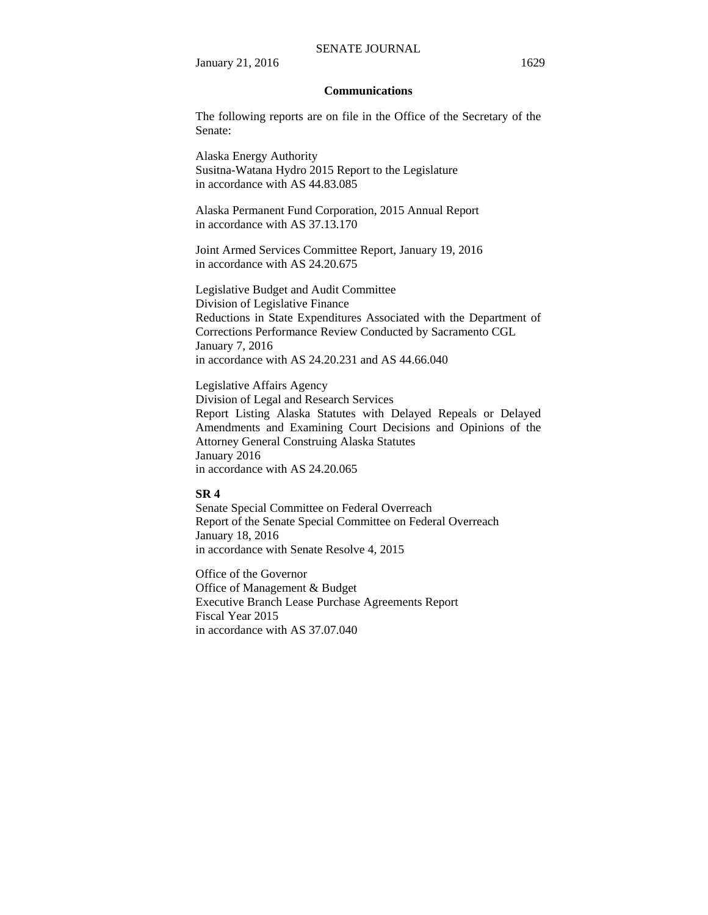#### SENATE JOURNAL

January 21, 2016 1629

## **Communications**

The following reports are on file in the Office of the Secretary of the Senate:

Alaska Energy Authority Susitna-Watana Hydro 2015 Report to the Legislature in accordance with AS 44.83.085

Alaska Permanent Fund Corporation, 2015 Annual Report in accordance with AS 37.13.170

Joint Armed Services Committee Report, January 19, 2016 in accordance with AS 24.20.675

Legislative Budget and Audit Committee Division of Legislative Finance Reductions in State Expenditures Associated with the Department of Corrections Performance Review Conducted by Sacramento CGL January 7, 2016 in accordance with AS 24.20.231 and AS 44.66.040

Legislative Affairs Agency Division of Legal and Research Services Report Listing Alaska Statutes with Delayed Repeals or Delayed Amendments and Examining Court Decisions and Opinions of the Attorney General Construing Alaska Statutes January 2016 in accordance with AS 24.20.065

## **SR 4**

Senate Special Committee on Federal Overreach Report of the Senate Special Committee on Federal Overreach January 18, 2016 in accordance with Senate Resolve 4, 2015

Office of the Governor Office of Management & Budget Executive Branch Lease Purchase Agreements Report Fiscal Year 2015 in accordance with AS 37.07.040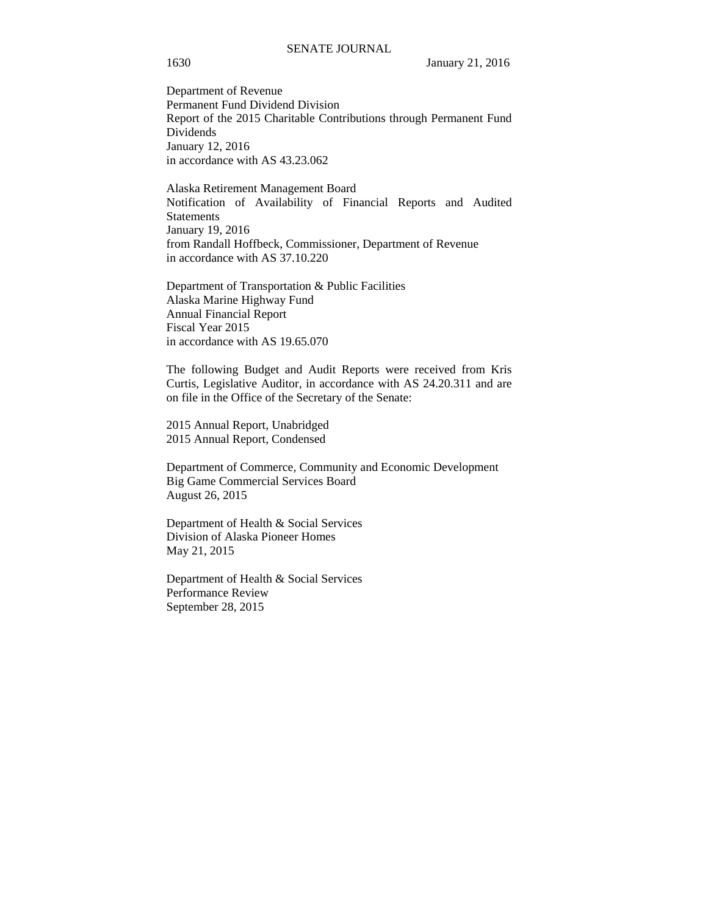Department of Revenue Permanent Fund Dividend Division Report of the 2015 Charitable Contributions through Permanent Fund Dividends January 12, 2016 in accordance with AS 43.23.062

Alaska Retirement Management Board Notification of Availability of Financial Reports and Audited Statements January 19, 2016 from Randall Hoffbeck, Commissioner, Department of Revenue in accordance with AS 37.10.220

Department of Transportation & Public Facilities Alaska Marine Highway Fund Annual Financial Report Fiscal Year 2015 in accordance with AS 19.65.070

The following Budget and Audit Reports were received from Kris Curtis, Legislative Auditor, in accordance with AS 24.20.311 and are on file in the Office of the Secretary of the Senate:

2015 Annual Report, Unabridged 2015 Annual Report, Condensed

Department of Commerce, Community and Economic Development Big Game Commercial Services Board August 26, 2015

Department of Health & Social Services Division of Alaska Pioneer Homes May 21, 2015

Department of Health & Social Services Performance Review September 28, 2015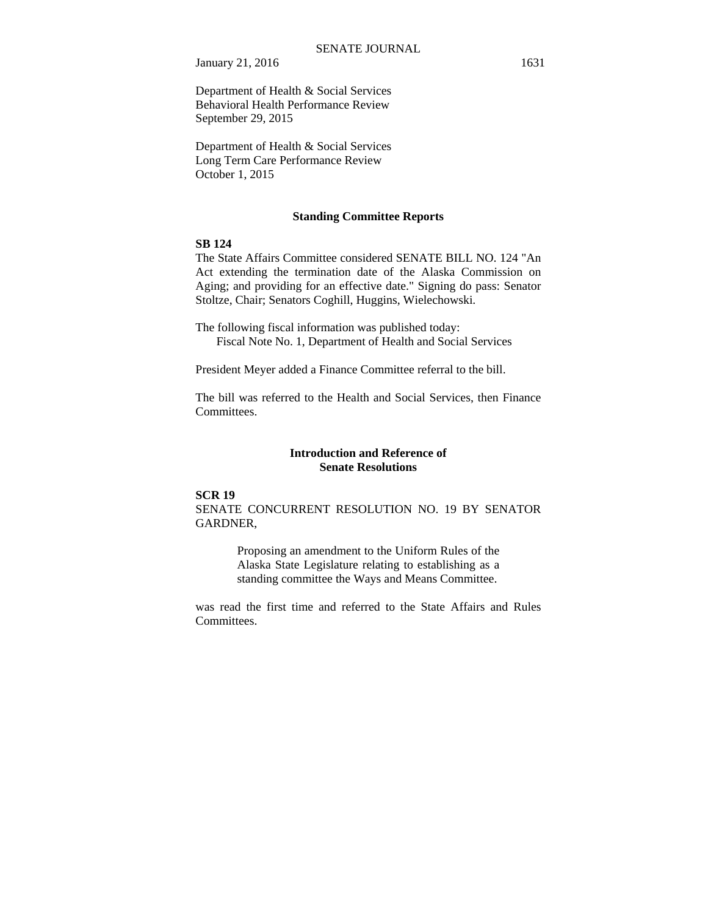January 21, 2016 1631

Department of Health & Social Services Behavioral Health Performance Review September 29, 2015

Department of Health & Social Services Long Term Care Performance Review October 1, 2015

#### **Standing Committee Reports**

## **SB 124**

The State Affairs Committee considered SENATE BILL NO. 124 "An Act extending the termination date of the Alaska Commission on Aging; and providing for an effective date." Signing do pass: Senator Stoltze, Chair; Senators Coghill, Huggins, Wielechowski.

The following fiscal information was published today: Fiscal Note No. 1, Department of Health and Social Services

President Meyer added a Finance Committee referral to the bill.

The bill was referred to the Health and Social Services, then Finance Committees.

## **Introduction and Reference of Senate Resolutions**

## **SCR 19**

SENATE CONCURRENT RESOLUTION NO. 19 BY SENATOR GARDNER,

> Proposing an amendment to the Uniform Rules of the Alaska State Legislature relating to establishing as a standing committee the Ways and Means Committee.

was read the first time and referred to the State Affairs and Rules Committees.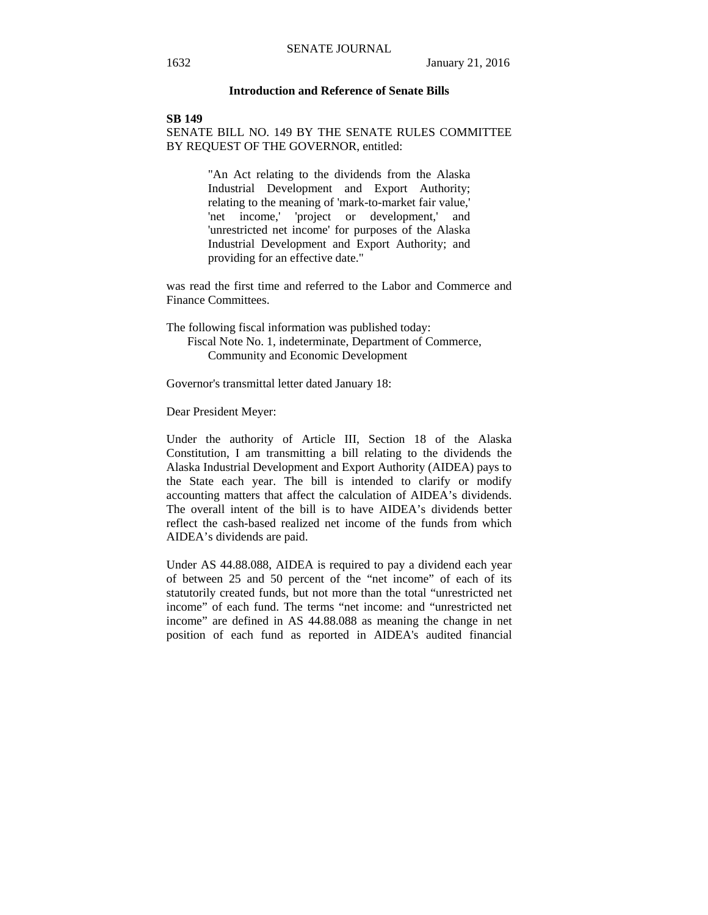## **Introduction and Reference of Senate Bills**

## **SB 149** SENATE BILL NO. 149 BY THE SENATE RULES COMMITTEE BY REQUEST OF THE GOVERNOR, entitled:

"An Act relating to the dividends from the Alaska Industrial Development and Export Authority; relating to the meaning of 'mark-to-market fair value,' 'net income,' 'project or development,' and 'unrestricted net income' for purposes of the Alaska Industrial Development and Export Authority; and providing for an effective date."

was read the first time and referred to the Labor and Commerce and Finance Committees.

The following fiscal information was published today: Fiscal Note No. 1, indeterminate, Department of Commerce,

Community and Economic Development

Governor's transmittal letter dated January 18:

Dear President Meyer:

Under the authority of Article III, Section 18 of the Alaska Constitution, I am transmitting a bill relating to the dividends the Alaska Industrial Development and Export Authority (AIDEA) pays to the State each year. The bill is intended to clarify or modify accounting matters that affect the calculation of AIDEA's dividends. The overall intent of the bill is to have AIDEA's dividends better reflect the cash-based realized net income of the funds from which AIDEA's dividends are paid.

Under AS 44.88.088, AIDEA is required to pay a dividend each year of between 25 and 50 percent of the "net income" of each of its statutorily created funds, but not more than the total "unrestricted net income" of each fund. The terms "net income: and "unrestricted net income" are defined in AS 44.88.088 as meaning the change in net position of each fund as reported in AIDEA's audited financial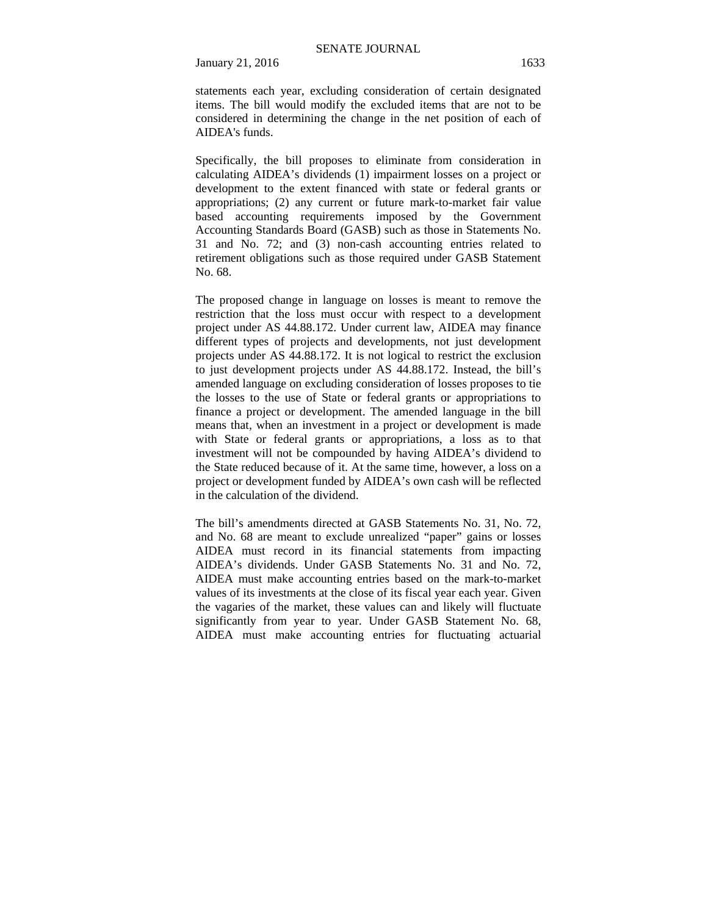January 21, 2016 1633

statements each year, excluding consideration of certain designated items. The bill would modify the excluded items that are not to be considered in determining the change in the net position of each of AIDEA's funds.

Specifically, the bill proposes to eliminate from consideration in calculating AIDEA's dividends (1) impairment losses on a project or development to the extent financed with state or federal grants or appropriations; (2) any current or future mark-to-market fair value based accounting requirements imposed by the Government Accounting Standards Board (GASB) such as those in Statements No. 31 and No. 72; and (3) non-cash accounting entries related to retirement obligations such as those required under GASB Statement No. 68.

The proposed change in language on losses is meant to remove the restriction that the loss must occur with respect to a development project under AS 44.88.172. Under current law, AIDEA may finance different types of projects and developments, not just development projects under AS 44.88.172. It is not logical to restrict the exclusion to just development projects under AS 44.88.172. Instead, the bill's amended language on excluding consideration of losses proposes to tie the losses to the use of State or federal grants or appropriations to finance a project or development. The amended language in the bill means that, when an investment in a project or development is made with State or federal grants or appropriations, a loss as to that investment will not be compounded by having AIDEA's dividend to the State reduced because of it. At the same time, however, a loss on a project or development funded by AIDEA's own cash will be reflected in the calculation of the dividend.

The bill's amendments directed at GASB Statements No. 31, No. 72, and No. 68 are meant to exclude unrealized "paper" gains or losses AIDEA must record in its financial statements from impacting AIDEA's dividends. Under GASB Statements No. 31 and No. 72, AIDEA must make accounting entries based on the mark-to-market values of its investments at the close of its fiscal year each year. Given the vagaries of the market, these values can and likely will fluctuate significantly from year to year. Under GASB Statement No. 68, AIDEA must make accounting entries for fluctuating actuarial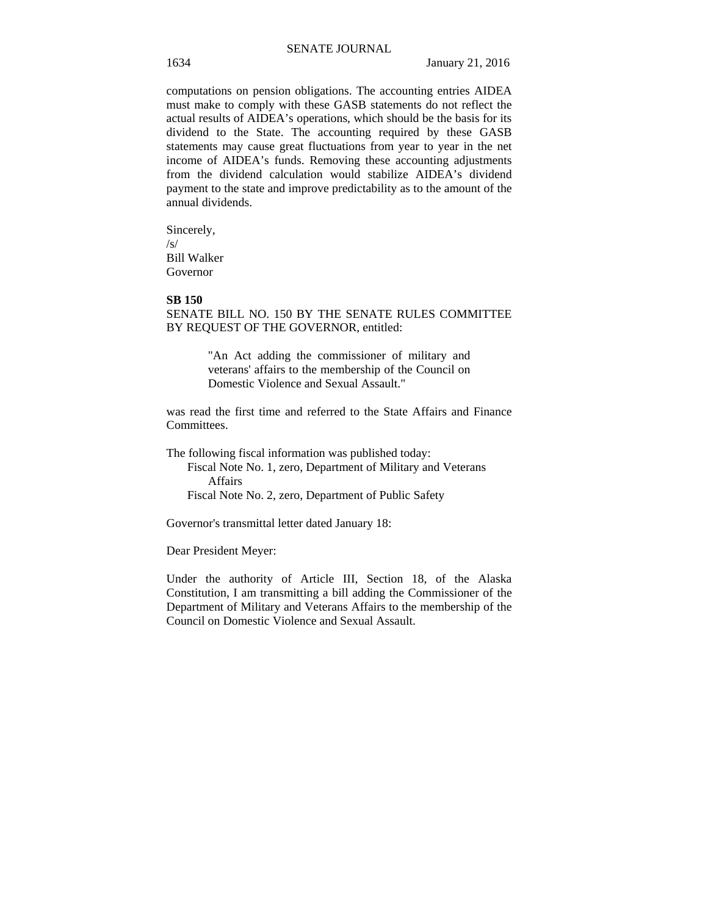computations on pension obligations. The accounting entries AIDEA must make to comply with these GASB statements do not reflect the actual results of AIDEA's operations, which should be the basis for its dividend to the State. The accounting required by these GASB statements may cause great fluctuations from year to year in the net income of AIDEA's funds. Removing these accounting adjustments from the dividend calculation would stabilize AIDEA's dividend payment to the state and improve predictability as to the amount of the annual dividends.

Sincerely, /s/ Bill Walker Governor

## **SB 150**

SENATE BILL NO. 150 BY THE SENATE RULES COMMITTEE BY REQUEST OF THE GOVERNOR, entitled:

> "An Act adding the commissioner of military and veterans' affairs to the membership of the Council on Domestic Violence and Sexual Assault."

was read the first time and referred to the State Affairs and Finance Committees.

The following fiscal information was published today: Fiscal Note No. 1, zero, Department of Military and Veterans Affairs

Fiscal Note No. 2, zero, Department of Public Safety

Governor's transmittal letter dated January 18:

Dear President Meyer:

Under the authority of Article III, Section 18, of the Alaska Constitution, I am transmitting a bill adding the Commissioner of the Department of Military and Veterans Affairs to the membership of the Council on Domestic Violence and Sexual Assault.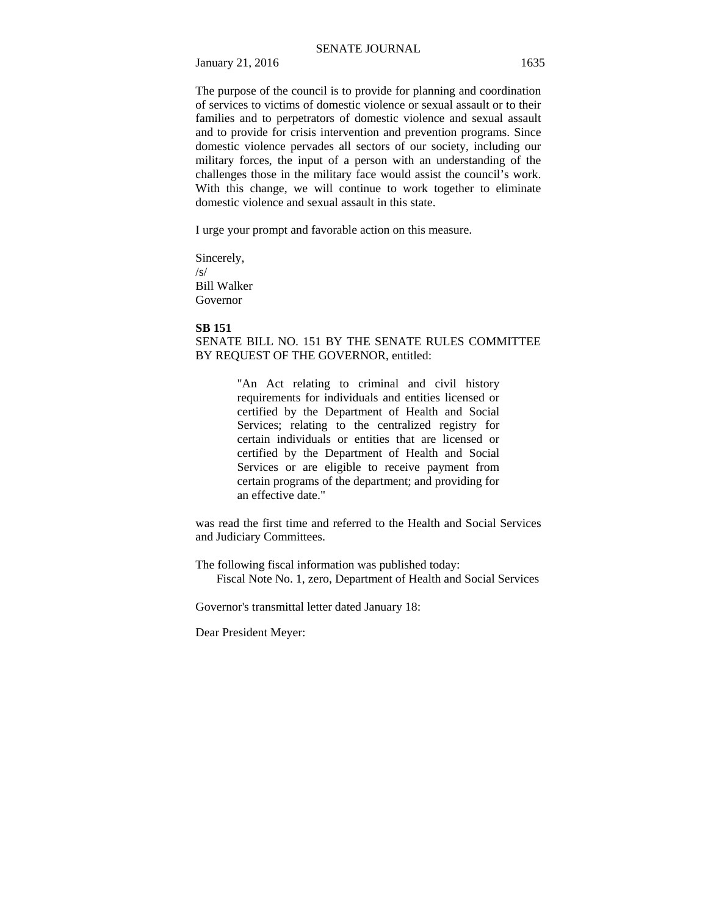January 21, 2016 1635

The purpose of the council is to provide for planning and coordination of services to victims of domestic violence or sexual assault or to their families and to perpetrators of domestic violence and sexual assault and to provide for crisis intervention and prevention programs. Since domestic violence pervades all sectors of our society, including our military forces, the input of a person with an understanding of the challenges those in the military face would assist the council's work. With this change, we will continue to work together to eliminate domestic violence and sexual assault in this state.

I urge your prompt and favorable action on this measure.

Sincerely, /s/ Bill Walker Governor

#### **SB 151**

## SENATE BILL NO. 151 BY THE SENATE RULES COMMITTEE BY REQUEST OF THE GOVERNOR, entitled:

"An Act relating to criminal and civil history requirements for individuals and entities licensed or certified by the Department of Health and Social Services; relating to the centralized registry for certain individuals or entities that are licensed or certified by the Department of Health and Social Services or are eligible to receive payment from certain programs of the department; and providing for an effective date."

was read the first time and referred to the Health and Social Services and Judiciary Committees.

The following fiscal information was published today: Fiscal Note No. 1, zero, Department of Health and Social Services

Governor's transmittal letter dated January 18:

Dear President Meyer: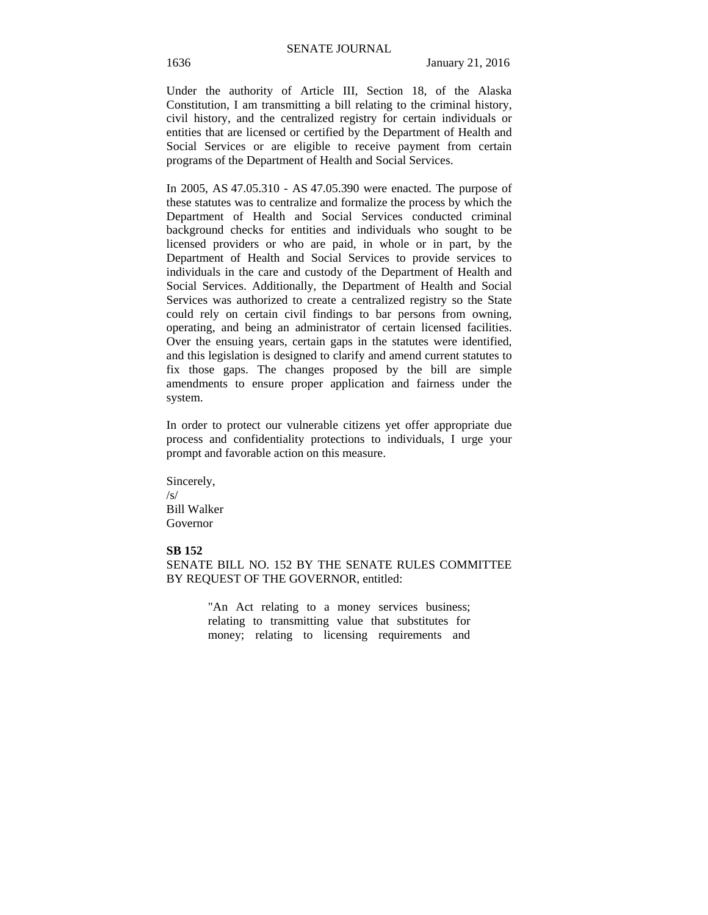Under the authority of Article III, Section 18, of the Alaska Constitution, I am transmitting a bill relating to the criminal history, civil history, and the centralized registry for certain individuals or entities that are licensed or certified by the Department of Health and Social Services or are eligible to receive payment from certain programs of the Department of Health and Social Services.

In 2005, AS 47.05.310 - AS 47.05.390 were enacted. The purpose of these statutes was to centralize and formalize the process by which the Department of Health and Social Services conducted criminal background checks for entities and individuals who sought to be licensed providers or who are paid, in whole or in part, by the Department of Health and Social Services to provide services to individuals in the care and custody of the Department of Health and Social Services. Additionally, the Department of Health and Social Services was authorized to create a centralized registry so the State could rely on certain civil findings to bar persons from owning, operating, and being an administrator of certain licensed facilities. Over the ensuing years, certain gaps in the statutes were identified, and this legislation is designed to clarify and amend current statutes to fix those gaps. The changes proposed by the bill are simple amendments to ensure proper application and fairness under the system.

In order to protect our vulnerable citizens yet offer appropriate due process and confidentiality protections to individuals, I urge your prompt and favorable action on this measure.

Sincerely, /s/ Bill Walker Governor

## **SB 152**

SENATE BILL NO. 152 BY THE SENATE RULES COMMITTEE BY REQUEST OF THE GOVERNOR, entitled:

> "An Act relating to a money services business; relating to transmitting value that substitutes for money; relating to licensing requirements and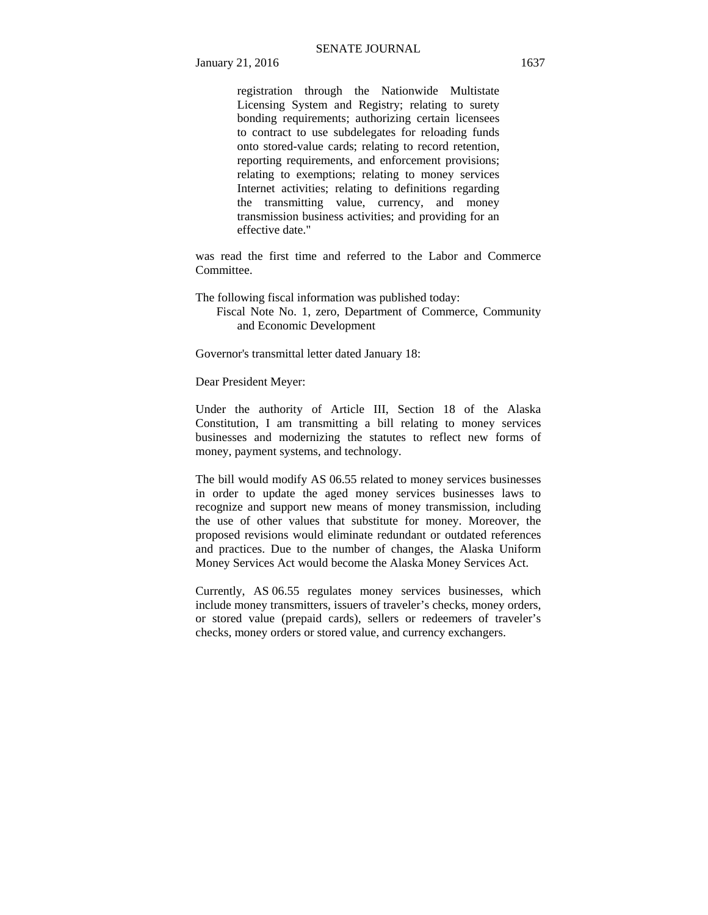registration through the Nationwide Multistate Licensing System and Registry; relating to surety bonding requirements; authorizing certain licensees to contract to use subdelegates for reloading funds onto stored-value cards; relating to record retention, reporting requirements, and enforcement provisions; relating to exemptions; relating to money services Internet activities; relating to definitions regarding the transmitting value, currency, and money transmission business activities; and providing for an effective date."

was read the first time and referred to the Labor and Commerce Committee.

The following fiscal information was published today:

 Fiscal Note No. 1, zero, Department of Commerce, Community and Economic Development

Governor's transmittal letter dated January 18:

Dear President Meyer:

Under the authority of Article III, Section 18 of the Alaska Constitution, I am transmitting a bill relating to money services businesses and modernizing the statutes to reflect new forms of money, payment systems, and technology.

The bill would modify AS 06.55 related to money services businesses in order to update the aged money services businesses laws to recognize and support new means of money transmission, including the use of other values that substitute for money. Moreover, the proposed revisions would eliminate redundant or outdated references and practices. Due to the number of changes, the Alaska Uniform Money Services Act would become the Alaska Money Services Act.

Currently, AS 06.55 regulates money services businesses, which include money transmitters, issuers of traveler's checks, money orders, or stored value (prepaid cards), sellers or redeemers of traveler's checks, money orders or stored value, and currency exchangers.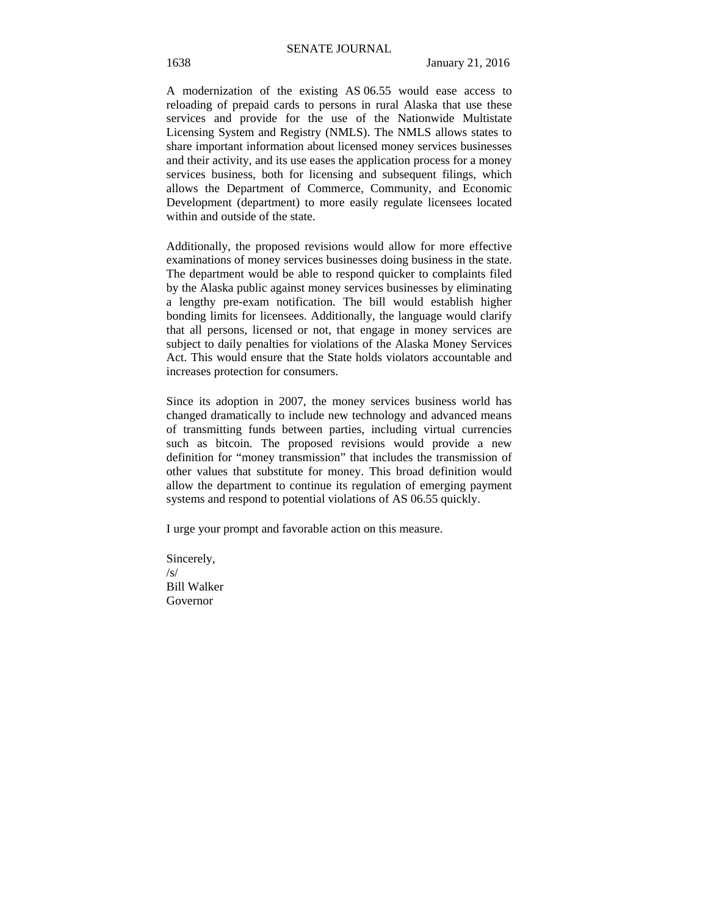A modernization of the existing AS 06.55 would ease access to reloading of prepaid cards to persons in rural Alaska that use these services and provide for the use of the Nationwide Multistate Licensing System and Registry (NMLS). The NMLS allows states to share important information about licensed money services businesses and their activity, and its use eases the application process for a money services business, both for licensing and subsequent filings, which allows the Department of Commerce, Community, and Economic Development (department) to more easily regulate licensees located within and outside of the state.

Additionally, the proposed revisions would allow for more effective examinations of money services businesses doing business in the state. The department would be able to respond quicker to complaints filed by the Alaska public against money services businesses by eliminating a lengthy pre-exam notification. The bill would establish higher bonding limits for licensees. Additionally, the language would clarify that all persons, licensed or not, that engage in money services are subject to daily penalties for violations of the Alaska Money Services Act. This would ensure that the State holds violators accountable and increases protection for consumers.

Since its adoption in 2007, the money services business world has changed dramatically to include new technology and advanced means of transmitting funds between parties, including virtual currencies such as bitcoin. The proposed revisions would provide a new definition for "money transmission" that includes the transmission of other values that substitute for money. This broad definition would allow the department to continue its regulation of emerging payment systems and respond to potential violations of AS 06.55 quickly.

I urge your prompt and favorable action on this measure.

Sincerely, /s/ Bill Walker Governor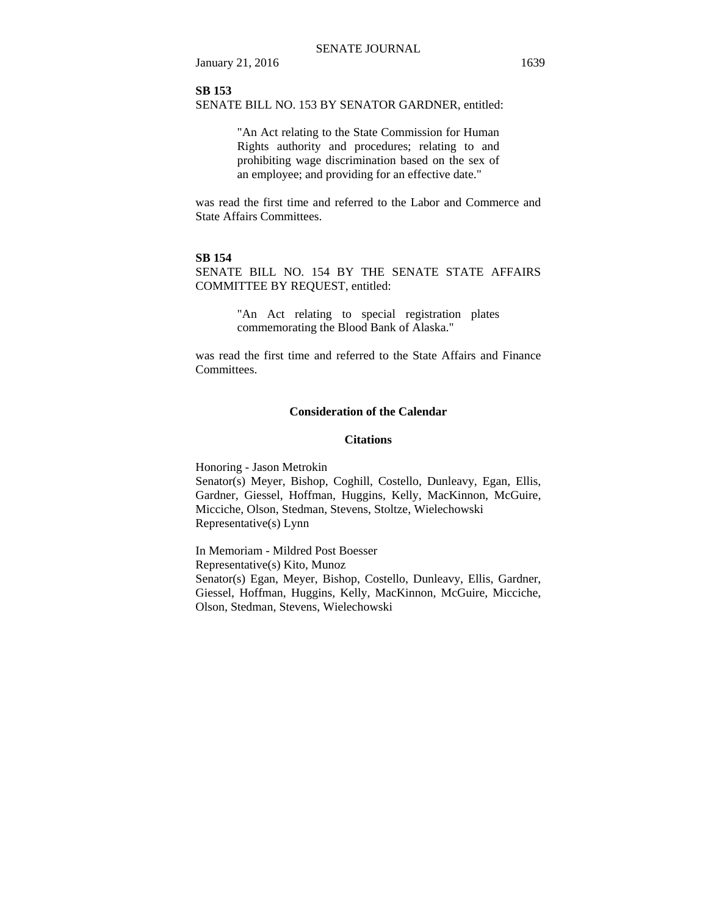January 21, 2016 1639

## **SB 153**

SENATE BILL NO. 153 BY SENATOR GARDNER, entitled:

"An Act relating to the State Commission for Human Rights authority and procedures; relating to and prohibiting wage discrimination based on the sex of an employee; and providing for an effective date."

was read the first time and referred to the Labor and Commerce and State Affairs Committees.

## **SB 154**

SENATE BILL NO. 154 BY THE SENATE STATE AFFAIRS COMMITTEE BY REQUEST, entitled:

> "An Act relating to special registration plates commemorating the Blood Bank of Alaska."

was read the first time and referred to the State Affairs and Finance Committees.

## **Consideration of the Calendar**

#### **Citations**

Honoring - Jason Metrokin Senator(s) Meyer, Bishop, Coghill, Costello, Dunleavy, Egan, Ellis, Gardner, Giessel, Hoffman, Huggins, Kelly, MacKinnon, McGuire, Micciche, Olson, Stedman, Stevens, Stoltze, Wielechowski Representative(s) Lynn

In Memoriam - Mildred Post Boesser Representative(s) Kito, Munoz Senator(s) Egan, Meyer, Bishop, Costello, Dunleavy, Ellis, Gardner, Giessel, Hoffman, Huggins, Kelly, MacKinnon, McGuire, Micciche, Olson, Stedman, Stevens, Wielechowski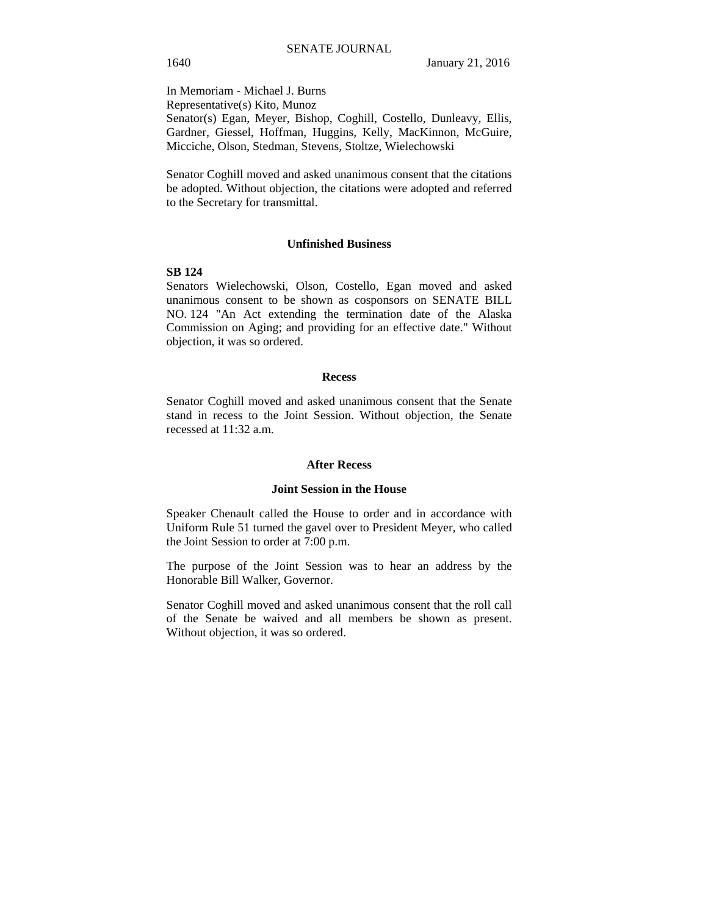In Memoriam - Michael J. Burns Representative(s) Kito, Munoz Senator(s) Egan, Meyer, Bishop, Coghill, Costello, Dunleavy, Ellis, Gardner, Giessel, Hoffman, Huggins, Kelly, MacKinnon, McGuire, Micciche, Olson, Stedman, Stevens, Stoltze, Wielechowski

Senator Coghill moved and asked unanimous consent that the citations be adopted. Without objection, the citations were adopted and referred to the Secretary for transmittal.

#### **Unfinished Business**

## **SB 124**

Senators Wielechowski, Olson, Costello, Egan moved and asked unanimous consent to be shown as cosponsors on SENATE BILL NO. 124 "An Act extending the termination date of the Alaska Commission on Aging; and providing for an effective date." Without objection, it was so ordered.

#### **Recess**

Senator Coghill moved and asked unanimous consent that the Senate stand in recess to the Joint Session. Without objection, the Senate recessed at 11:32 a.m.

#### **After Recess**

## **Joint Session in the House**

Speaker Chenault called the House to order and in accordance with Uniform Rule 51 turned the gavel over to President Meyer, who called the Joint Session to order at 7:00 p.m.

The purpose of the Joint Session was to hear an address by the Honorable Bill Walker, Governor.

Senator Coghill moved and asked unanimous consent that the roll call of the Senate be waived and all members be shown as present. Without objection, it was so ordered.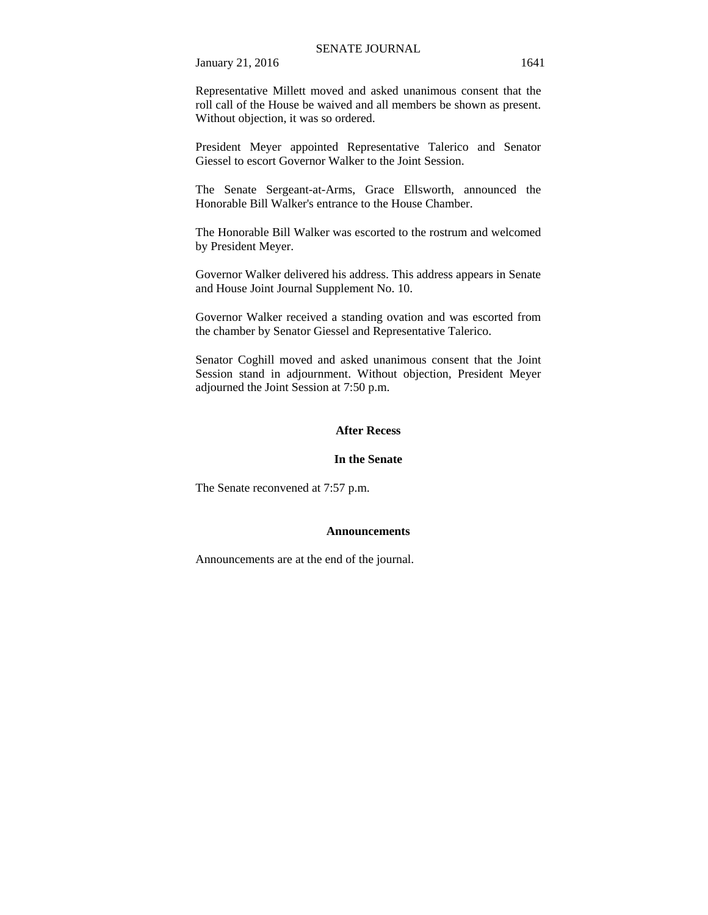January 21, 2016 1641

Representative Millett moved and asked unanimous consent that the roll call of the House be waived and all members be shown as present. Without objection, it was so ordered.

President Meyer appointed Representative Talerico and Senator Giessel to escort Governor Walker to the Joint Session.

The Senate Sergeant-at-Arms, Grace Ellsworth, announced the Honorable Bill Walker's entrance to the House Chamber.

The Honorable Bill Walker was escorted to the rostrum and welcomed by President Meyer.

Governor Walker delivered his address. This address appears in Senate and House Joint Journal Supplement No. 10.

Governor Walker received a standing ovation and was escorted from the chamber by Senator Giessel and Representative Talerico.

Senator Coghill moved and asked unanimous consent that the Joint Session stand in adjournment. Without objection, President Meyer adjourned the Joint Session at 7:50 p.m.

#### **After Recess**

## **In the Senate**

The Senate reconvened at 7:57 p.m.

#### **Announcements**

Announcements are at the end of the journal.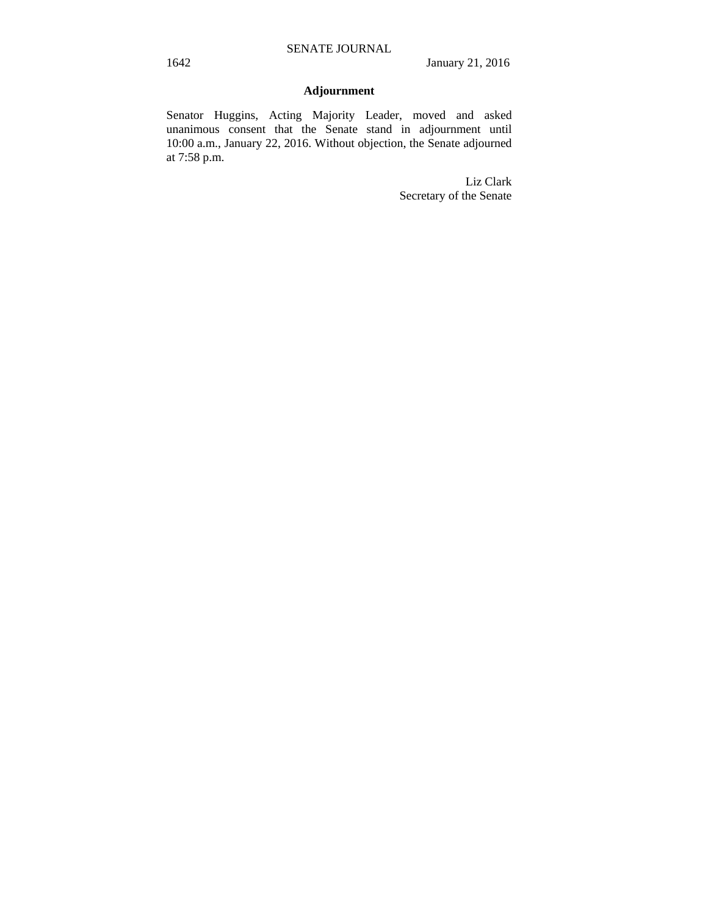# **Adjournment**

Senator Huggins, Acting Majority Leader, moved and asked unanimous consent that the Senate stand in adjournment until 10:00 a.m., January 22, 2016. Without objection, the Senate adjourned at 7:58 p.m.

> Liz Clark Secretary of the Senate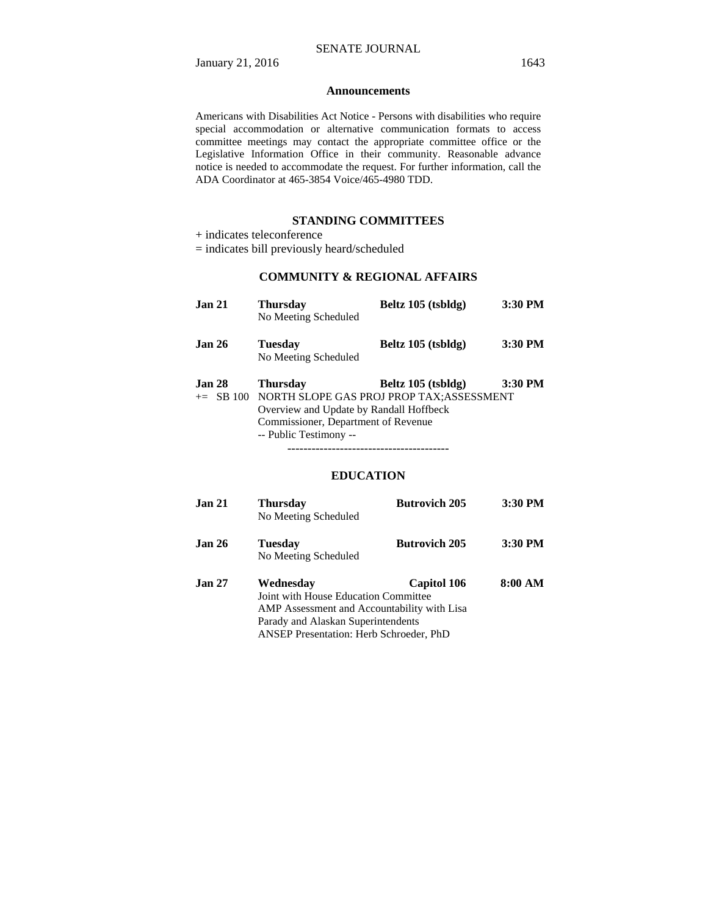## **Announcements**

Americans with Disabilities Act Notice - Persons with disabilities who require special accommodation or alternative communication formats to access committee meetings may contact the appropriate committee office or the Legislative Information Office in their community. Reasonable advance notice is needed to accommodate the request. For further information, call the ADA Coordinator at 465-3854 Voice/465-4980 TDD.

## **STANDING COMMITTEES**

- + indicates teleconference
- = indicates bill previously heard/scheduled

## **COMMUNITY & REGIONAL AFFAIRS**

| Jan <sub>21</sub> | <b>Thursday</b><br>No Meeting Scheduled            | Beltz 105 (tsbldg) | 3:30 PM |
|-------------------|----------------------------------------------------|--------------------|---------|
| Jan <sub>26</sub> | Tuesdav<br>No Meeting Scheduled                    | Beltz 105 (tsbldg) | 3:30 PM |
|                   |                                                    |                    |         |
| Jan <sub>28</sub> | <b>Thursday</b>                                    | Beltz 105 (tsbldg) | 3:30 PM |
|                   | += SB 100 NORTH SLOPE GAS PROJ PROP TAX;ASSESSMENT |                    |         |
|                   | Overview and Update by Randall Hoffbeck            |                    |         |
|                   | Commissioner, Department of Revenue                |                    |         |
|                   | -- Public Testimony --                             |                    |         |
|                   |                                                    |                    |         |

## **EDUCATION**

| Jan 21 | <b>Thursday</b><br>No Meeting Scheduled        | <b>Butrovich 205</b> | 3:30 PM |
|--------|------------------------------------------------|----------------------|---------|
| Jan 26 | <b>Tuesday</b><br>No Meeting Scheduled         | <b>Butrovich 205</b> | 3:30 PM |
| Jan 27 | Wednesday                                      | Capitol 106          | 8:00 AM |
|        | Joint with House Education Committee           |                      |         |
|        | AMP Assessment and Accountability with Lisa    |                      |         |
|        | Parady and Alaskan Superintendents             |                      |         |
|        | <b>ANSEP Presentation: Herb Schroeder, PhD</b> |                      |         |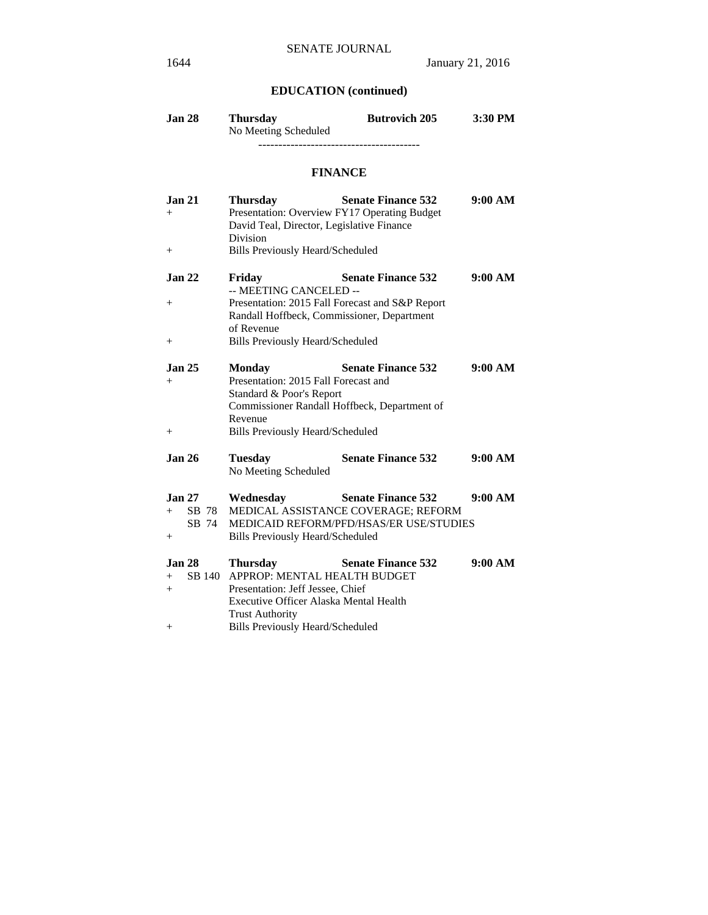# **EDUCATION (continued)**

| Jan 28 | <b>Thursday</b>      | <b>Butrovich 205</b> | $3:30$ PM |
|--------|----------------------|----------------------|-----------|
|        | No Meeting Scheduled |                      |           |
|        |                      |                      |           |

## **FINANCE**

| <b>Jan 21</b><br>$^{+}$   | <b>Thursday</b><br>David Teal, Director, Legislative Finance<br><b>Division</b> | <b>Senate Finance 532</b><br>Presentation: Overview FY17 Operating Budget    | 9:00 AM |
|---------------------------|---------------------------------------------------------------------------------|------------------------------------------------------------------------------|---------|
| $^{+}$                    | <b>Bills Previously Heard/Scheduled</b>                                         |                                                                              |         |
| Jan <sub>22</sub><br>$^+$ | Friday<br>-- MEETING CANCELED --                                                | <b>Senate Finance 532</b><br>Presentation: 2015 Fall Forecast and S&P Report | 9:00 AM |
|                           | of Revenue                                                                      | Randall Hoffbeck, Commissioner, Department                                   |         |
| $^{+}$                    | <b>Bills Previously Heard/Scheduled</b>                                         |                                                                              |         |
| <b>Jan 25</b><br>$^+$     | <b>Monday</b><br>Presentation: 2015 Fall Forecast and                           | <b>Senate Finance 532</b>                                                    | 9:00 AM |
|                           | Standard & Poor's Report<br>Revenue                                             | Commissioner Randall Hoffbeck, Department of                                 |         |
| $^{+}$                    | <b>Bills Previously Heard/Scheduled</b>                                         |                                                                              |         |
| <b>Jan 26</b>             | <b>Tuesday</b><br>No Meeting Scheduled                                          | <b>Senate Finance 532</b>                                                    | 9:00 AM |
| <b>Jan 27</b>             | Wednesday                                                                       | <b>Senate Finance 532</b>                                                    | 9:00 AM |
| $^{+}$                    |                                                                                 | SB 78 MEDICAL ASSISTANCE COVERAGE; REFORM                                    |         |
| SB 74                     |                                                                                 | <b>MEDICAID REFORM/PFD/HSAS/ER USE/STUDIES</b>                               |         |
| $^+$                      | <b>Bills Previously Heard/Scheduled</b>                                         |                                                                              |         |
| <b>Jan 28</b>             | <b>Thursday</b>                                                                 | <b>Senate Finance 532</b>                                                    | 9:00 AM |
| SB 140<br>$+$             | APPROP: MENTAL HEALTH BUDGET                                                    |                                                                              |         |
| $+$                       | Presentation: Jeff Jessee, Chief                                                |                                                                              |         |
|                           | Executive Officer Alaska Mental Health                                          |                                                                              |         |
|                           | <b>Trust Authority</b>                                                          |                                                                              |         |
| $^+$                      | <b>Bills Previously Heard/Scheduled</b>                                         |                                                                              |         |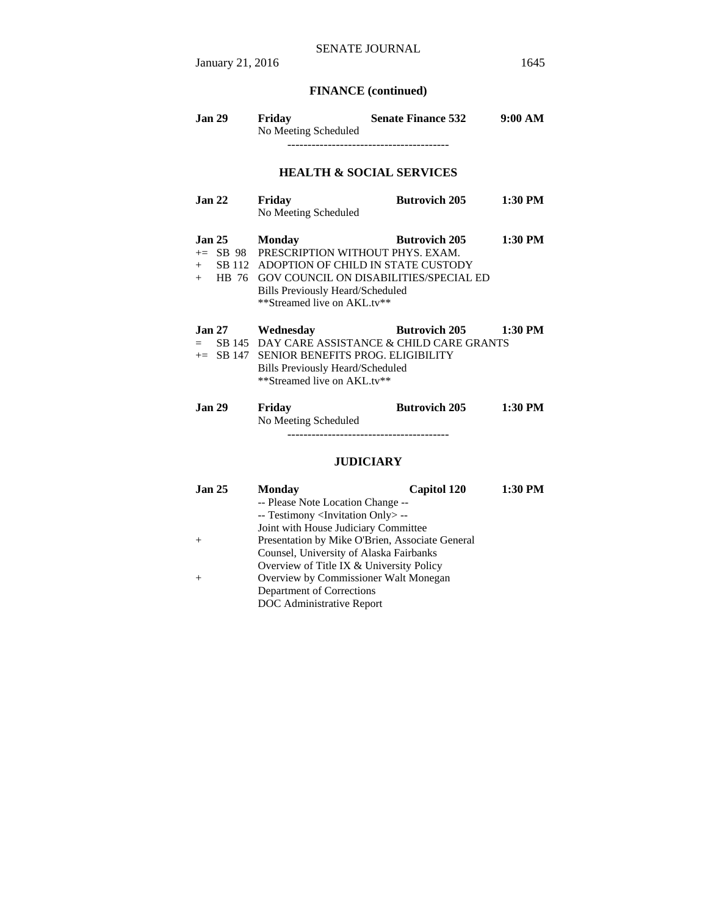# **FINANCE (continued)**

| <b>Jan 29</b>                           | Friday<br>No Meeting Scheduled                                                                                                                                                        | <b>Senate Finance 532</b>                                                           | 9:00 AM   |
|-----------------------------------------|---------------------------------------------------------------------------------------------------------------------------------------------------------------------------------------|-------------------------------------------------------------------------------------|-----------|
|                                         |                                                                                                                                                                                       | <b>HEALTH &amp; SOCIAL SERVICES</b>                                                 |           |
| Jan <sub>22</sub>                       | Friday<br>No Meeting Scheduled                                                                                                                                                        | <b>Butrovich 205</b>                                                                | $1:30$ PM |
| Jan 25                                  | <b>Monday</b><br>$+=$ SB 98 PRESCRIPTION WITHOUT PHYS. EXAM.<br>+ SB 112 ADOPTION OF CHILD IN STATE CUSTODY<br><b>Bills Previously Heard/Scheduled</b><br>**Streamed live on AKL.tv** | <b>Butrovich 205</b><br>+ HB 76 GOV COUNCIL ON DISABILITIES/SPECIAL ED              | $1:30$ PM |
| <b>Jan 27</b><br>$=$ $-$<br>$+=$ SB 147 | Wednesday<br>SENIOR BENEFITS PROG. ELIGIBILITY<br><b>Bills Previously Heard/Scheduled</b><br>**Streamed live on AKL.tv**                                                              | <b>Example 1205</b> Butrovich 205<br>SB 145 DAY CARE ASSISTANCE & CHILD CARE GRANTS | $1:30$ PM |
| <b>Jan 29</b>                           | Friday<br>No Meeting Scheduled                                                                                                                                                        | <b>Butrovich 205</b>                                                                | $1:30$ PM |
| <b>JUDICIARY</b>                        |                                                                                                                                                                                       |                                                                                     |           |
| <b>Jan 25</b>                           | <b>Monday</b><br>-- Please Note Location Change --                                                                                                                                    | <b>Capitol 120</b>                                                                  | $1:30$ PM |

 -- Testimony <Invitation Only> -- Joint with House Judiciary Committee

+ Presentation by Mike O'Brien, Associate General Counsel, University of Alaska Fairbanks

+ Overview by Commissioner Walt Monegan Department of Corrections DOC Administrative Report

Overview of Title IX & University Policy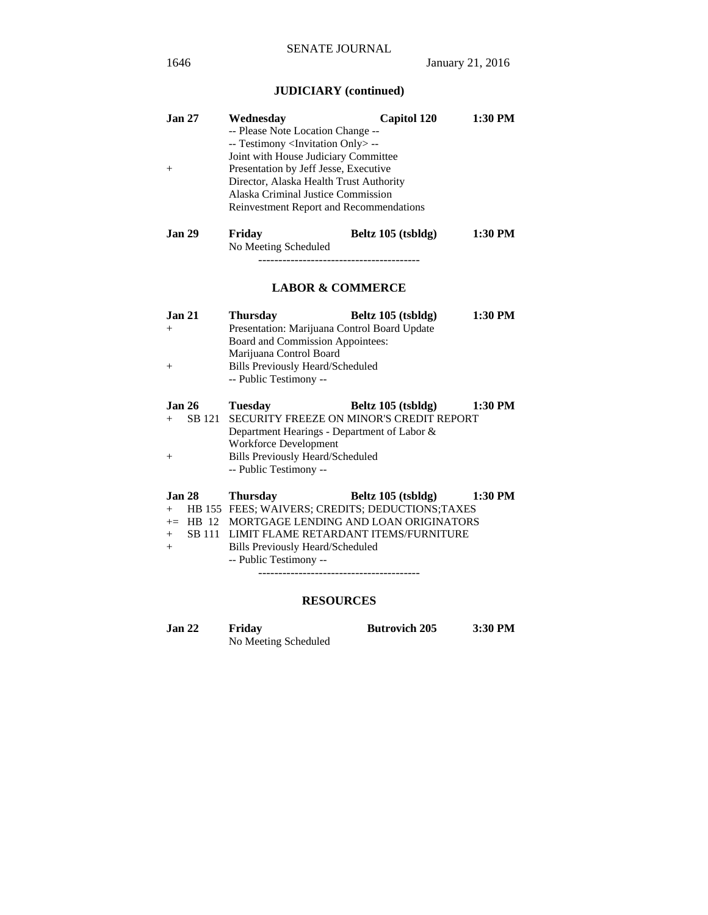# **JUDICIARY (continued)**

| Jan <sub>27</sub> | Wednesday                                         | <b>Capitol 120</b>                                                                                   | $1:30$ PM |  |
|-------------------|---------------------------------------------------|------------------------------------------------------------------------------------------------------|-----------|--|
|                   | -- Please Note Location Change --                 |                                                                                                      |           |  |
|                   | -- Testimony <invitation only=""> --</invitation> |                                                                                                      |           |  |
|                   | Joint with House Judiciary Committee              |                                                                                                      |           |  |
| $^{+}$            | Presentation by Jeff Jesse, Executive             |                                                                                                      |           |  |
|                   | Director, Alaska Health Trust Authority           |                                                                                                      |           |  |
|                   | Alaska Criminal Justice Commission                |                                                                                                      |           |  |
|                   | Reinvestment Report and Recommendations           |                                                                                                      |           |  |
| Jan <sub>29</sub> | Friday                                            | Beltz 105 (tsbldg)                                                                                   | 1:30 PM   |  |
|                   | No Meeting Scheduled                              |                                                                                                      |           |  |
|                   |                                                   | --------------------------                                                                           |           |  |
|                   |                                                   |                                                                                                      |           |  |
|                   | <b>LABOR &amp; COMMERCE</b>                       |                                                                                                      |           |  |
| <b>Jan 21</b>     | <b>Thursday</b>                                   | Beltz 105 (tsbldg)                                                                                   | $1:30$ PM |  |
| $^{+}$            | Presentation: Marijuana Control Board Update      |                                                                                                      |           |  |
|                   | Board and Commission Appointees:                  |                                                                                                      |           |  |
|                   | Marijuana Control Board                           |                                                                                                      |           |  |
| $^{+}$            | <b>Bills Previously Heard/Scheduled</b>           |                                                                                                      |           |  |
|                   | -- Public Testimony --                            |                                                                                                      |           |  |
| Jan <sub>26</sub> | <b>Tuesday</b>                                    | Beltz 105 (tsbldg)                                                                                   | 1:30 PM   |  |
| SB 121<br>$+$     |                                                   | SECURITY FREEZE ON MINOR'S CREDIT REPORT                                                             |           |  |
|                   | Department Hearings - Department of Labor &       |                                                                                                      |           |  |
|                   | <b>Workforce Development</b>                      |                                                                                                      |           |  |
| $^{+}$            | <b>Bills Previously Heard/Scheduled</b>           |                                                                                                      |           |  |
|                   | -- Public Testimony --                            |                                                                                                      |           |  |
|                   |                                                   |                                                                                                      |           |  |
| <b>Jan 28</b>     | <b>Thursday</b>                                   | Beltz 105 (tsbldg)                                                                                   | 1:30 PM   |  |
|                   |                                                   | + HB 155 FEES; WAIVERS; CREDITS; DEDUCTIONS; TAXES<br>+= HB 12 MORTGAGE LENDING AND LOAN ORIGINATORS |           |  |
| SB 111<br>$+$     |                                                   | LIMIT FLAME RETARDANT ITEMS/FURNITURE                                                                |           |  |
| $+$               | <b>Bills Previously Heard/Scheduled</b>           |                                                                                                      |           |  |
|                   | -- Public Testimony --                            |                                                                                                      |           |  |
|                   |                                                   |                                                                                                      |           |  |
|                   |                                                   |                                                                                                      |           |  |
|                   | <b>RESOURCES</b>                                  |                                                                                                      |           |  |

**Jan 22 Friday Butrovich 205 3:30 PM**  No Meeting Scheduled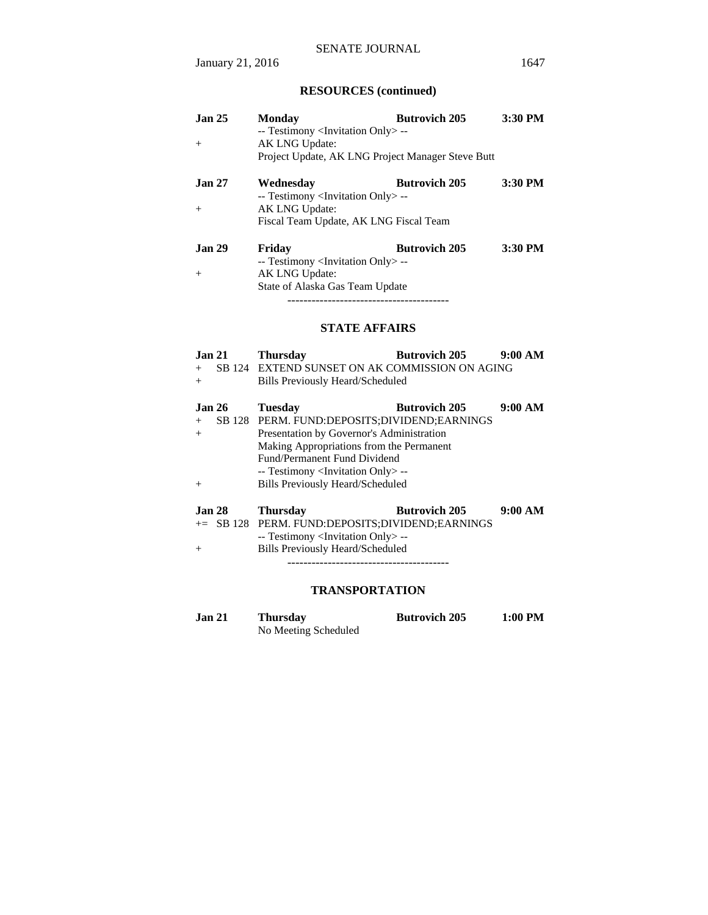# **RESOURCES (continued)**

| Jan <sub>25</sub>        | <b>Monday</b><br>-- Testimony <invitation only=""> --</invitation>             | <b>Butrovich 205</b> | 3:30 PM |
|--------------------------|--------------------------------------------------------------------------------|----------------------|---------|
| $+$                      | AK LNG Update:                                                                 |                      |         |
|                          | Project Update, AK LNG Project Manager Steve Butt                              |                      |         |
| <b>Jan 27</b>            | Wednesday<br>-- Testimony <invitation only=""> --</invitation>                 | <b>Butrovich 205</b> | 3:30 PM |
| $+$                      | AK LNG Update:                                                                 |                      |         |
|                          | Fiscal Team Update, AK LNG Fiscal Team                                         |                      |         |
| Jan <sub>29</sub><br>$+$ | Friday<br>-- Testimony <invitation only=""> --<br/>AK LNG Update:</invitation> | <b>Butrovich 205</b> | 3:30 PM |
|                          | State of Alaska Gas Team Update                                                |                      |         |

----------------------------------------

## **STATE AFFAIRS**

| Jan <sub>21</sub><br>$+$<br>$^{+}$ | <b>Butrovich 205</b><br><b>Thursday</b><br>SB 124 EXTEND SUNSET ON AK COMMISSION ON AGING<br><b>Bills Previously Heard/Scheduled</b>                                                                                                                                                                             | 9:00 AM |
|------------------------------------|------------------------------------------------------------------------------------------------------------------------------------------------------------------------------------------------------------------------------------------------------------------------------------------------------------------|---------|
| <b>Jan 26</b><br>$+$<br>$+$<br>$+$ | <b>Butrovich 205</b><br><b>Tuesday</b><br>SB 128 PERM. FUND:DEPOSITS:DIVIDEND:EARNINGS<br>Presentation by Governor's Administration<br>Making Appropriations from the Permanent<br>Fund/Permanent Fund Dividend<br>-- Testimony <invitation only=""> --<br/><b>Bills Previously Heard/Scheduled</b></invitation> | 9:00 AM |
| <b>Jan 28</b><br>$^{+}$            | <b>Butrovich 205</b><br><b>Thursday</b><br>+= SB 128 PERM. FUND:DEPOSITS:DIVIDEND:EARNINGS<br>-- Testimony <invitation only=""> --<br/><b>Bills Previously Heard/Scheduled</b></invitation>                                                                                                                      | 9:00 AM |

----------------------------------------

## **TRANSPORTATION**

| Jan 21 | <b>Thursday</b>      | <b>Butrovich 205</b> | 1:00 PM |
|--------|----------------------|----------------------|---------|
|        | No Meeting Scheduled |                      |         |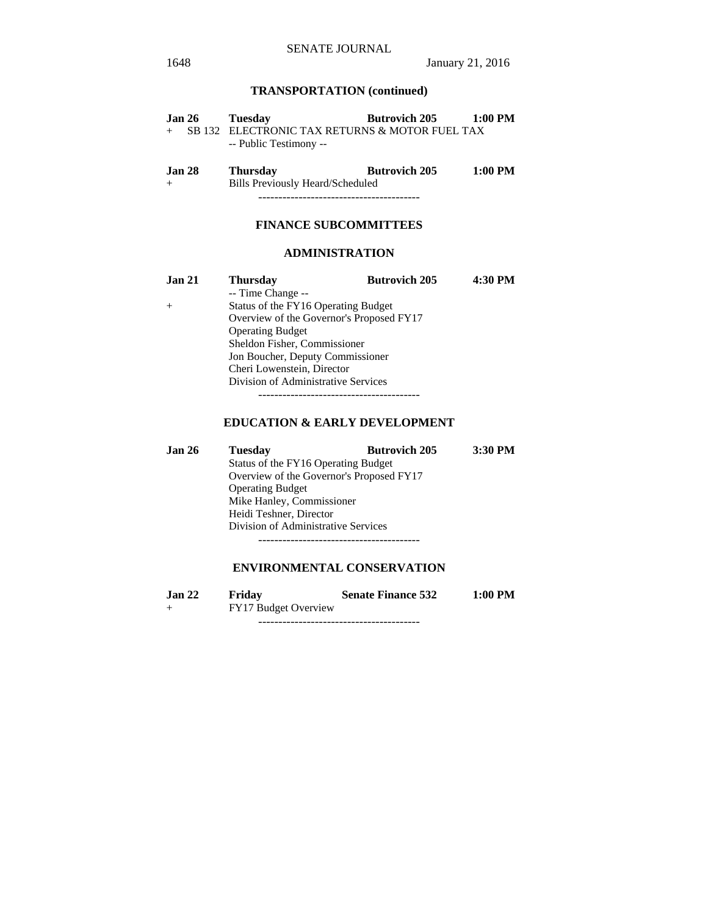## **TRANSPORTATION (continued)**

| <b>Jan 26</b> | Tuesday                                        | <b>Butrovich 205</b> | 1:00 PM   |
|---------------|------------------------------------------------|----------------------|-----------|
|               | SB 132 ELECTRONIC TAX RETURNS & MOTOR FUEL TAX |                      |           |
|               | -- Public Testimony --                         |                      |           |
|               |                                                |                      |           |
| <b>Jan 28</b> | <b>Thursday</b>                                | <b>Butrovich 205</b> | $1:00$ PM |
|               | Bills Previously Heard/Scheduled               |                      |           |

----------------------------------------

## **FINANCE SUBCOMMITTEES**

## **ADMINISTRATION**

| <b>Jan 21</b> | <b>Thursday</b>                          | <b>Butrovich 205</b> | 4:30 PM |
|---------------|------------------------------------------|----------------------|---------|
|               | -- Time Change --                        |                      |         |
| $+$           | Status of the FY16 Operating Budget      |                      |         |
|               | Overview of the Governor's Proposed FY17 |                      |         |
|               | <b>Operating Budget</b>                  |                      |         |
|               | Sheldon Fisher, Commissioner             |                      |         |
|               | Jon Boucher, Deputy Commissioner         |                      |         |
|               | Cheri Lowenstein, Director               |                      |         |
|               | Division of Administrative Services      |                      |         |
|               |                                          |                      |         |

## **EDUCATION & EARLY DEVELOPMENT**

| <b>Jan 26</b> | <b>Tuesday</b>                           | <b>Butrovich 205</b> | 3:30 PM |
|---------------|------------------------------------------|----------------------|---------|
|               | Status of the FY16 Operating Budget      |                      |         |
|               | Overview of the Governor's Proposed FY17 |                      |         |
|               | <b>Operating Budget</b>                  |                      |         |
|               | Mike Hanley, Commissioner                |                      |         |
|               | Heidi Teshner, Director                  |                      |         |
|               | Division of Administrative Services      |                      |         |
|               |                                          |                      |         |

## **ENVIRONMENTAL CONSERVATION**

| <b>Jan 22</b> | Friday               | <b>Senate Finance 532</b> | $1:00$ PM |  |
|---------------|----------------------|---------------------------|-----------|--|
|               | FY17 Budget Overview |                           |           |  |
|               |                      |                           |           |  |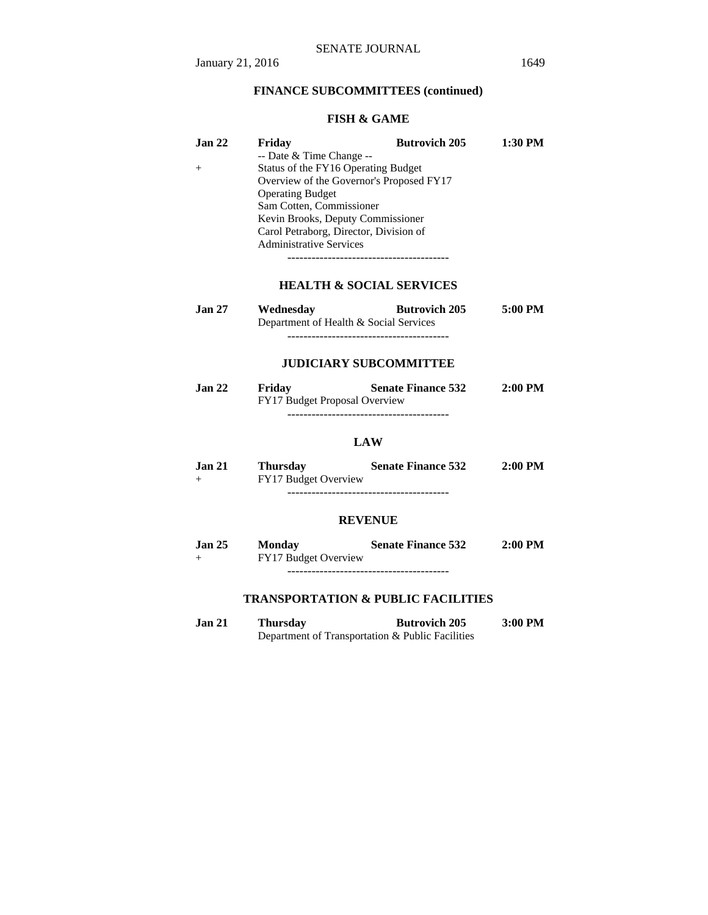## **FINANCE SUBCOMMITTEES (continued)**

## **FISH & GAME**

| Jan <sub>22</sub> | Friday                                   | <b>Butrovich 205</b> | 1:30 PM |
|-------------------|------------------------------------------|----------------------|---------|
|                   | $-$ Date & Time Change $-$               |                      |         |
|                   | Status of the FY16 Operating Budget      |                      |         |
|                   | Overview of the Governor's Proposed FY17 |                      |         |
|                   | <b>Operating Budget</b>                  |                      |         |
|                   | Sam Cotten, Commissioner                 |                      |         |
|                   | Kevin Brooks, Deputy Commissioner        |                      |         |
|                   | Carol Petraborg, Director, Division of   |                      |         |
|                   | <b>Administrative Services</b>           |                      |         |
|                   |                                          |                      |         |

**HEALTH & SOCIAL SERVICES**

| <b>Jan 27</b> | Wednesday                              | <b>Butrovich 205</b> | 5:00 PM |
|---------------|----------------------------------------|----------------------|---------|
|               | Department of Health & Social Services |                      |         |
|               |                                        |                      |         |

## **JUDICIARY SUBCOMMITTEE**

| Jan 22 | Friday | <b>Senate Finance 532</b>            | $2:00$ PM |
|--------|--------|--------------------------------------|-----------|
|        |        | <b>FY17 Budget Proposal Overview</b> |           |
|        |        |                                      |           |

## **LAW**

| Jan 21 | Thursday             | <b>Senate Finance 532</b> | $2:00$ PM |
|--------|----------------------|---------------------------|-----------|
| $^{+}$ | FY17 Budget Overview |                           |           |

----------------------------------------

## **REVENUE**

| <b>Jan 25</b> | Monday               | <b>Senate Finance 532</b> | $2:00$ PM |
|---------------|----------------------|---------------------------|-----------|
| $^{+}$        | FY17 Budget Overview |                           |           |

----------------------------------------

## **TRANSPORTATION & PUBLIC FACILITIES**

**Jan 21 Thursday Butrovich 205 3:00 PM**  Department of Transportation & Public Facilities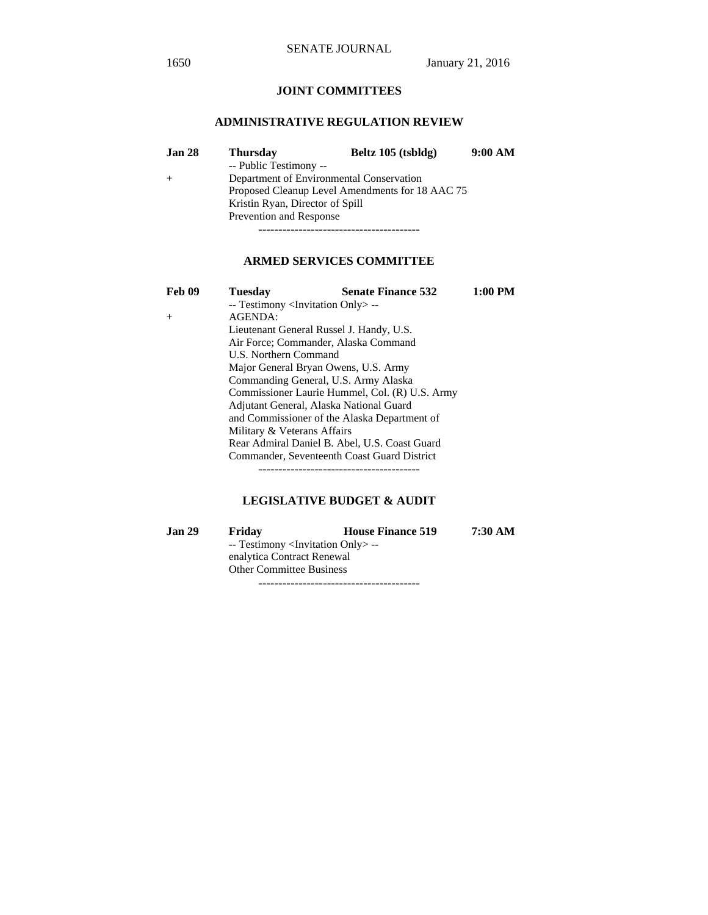# **JOINT COMMITTEES**

## **ADMINISTRATIVE REGULATION REVIEW**

| <b>Jan 28</b> | <b>Thursday</b>                                 | Beltz 105 (tsbldg)                       | 9:00 AM |  |
|---------------|-------------------------------------------------|------------------------------------------|---------|--|
|               | -- Public Testimony --                          |                                          |         |  |
|               |                                                 | Department of Environmental Conservation |         |  |
|               | Proposed Cleanup Level Amendments for 18 AAC 75 |                                          |         |  |
|               | Kristin Ryan, Director of Spill                 |                                          |         |  |
|               | Prevention and Response                         |                                          |         |  |
|               |                                                 |                                          |         |  |

## **ARMED SERVICES COMMITTEE**

| Feb 09         | <b>Tuesday</b>                                    | <b>Senate Finance 532</b> | $1:00$ PM |  |
|----------------|---------------------------------------------------|---------------------------|-----------|--|
|                | -- Testimony <invitation only=""> --</invitation> |                           |           |  |
| $\overline{+}$ | AGENDA:                                           |                           |           |  |
|                | Lieutenant General Russel J. Handy, U.S.          |                           |           |  |
|                | Air Force: Commander, Alaska Command              |                           |           |  |
|                | U.S. Northern Command                             |                           |           |  |
|                | Major General Bryan Owens, U.S. Army              |                           |           |  |
|                | Commanding General, U.S. Army Alaska              |                           |           |  |
|                | Commissioner Laurie Hummel, Col. (R) U.S. Army    |                           |           |  |
|                | Adjutant General, Alaska National Guard           |                           |           |  |
|                | and Commissioner of the Alaska Department of      |                           |           |  |
|                | Military & Veterans Affairs                       |                           |           |  |
|                | Rear Admiral Daniel B. Abel, U.S. Coast Guard     |                           |           |  |
|                | Commander, Seventeenth Coast Guard District       |                           |           |  |
|                |                                                   |                           |           |  |

## **LEGISLATIVE BUDGET & AUDIT**

| Jan 29 | Friday                                            | <b>House Finance 519</b> | 7:30 AM |  |
|--------|---------------------------------------------------|--------------------------|---------|--|
|        | -- Testimony <invitation only=""> --</invitation> |                          |         |  |
|        | enalytica Contract Renewal                        |                          |         |  |
|        | <b>Other Committee Business</b>                   |                          |         |  |
|        |                                                   |                          |         |  |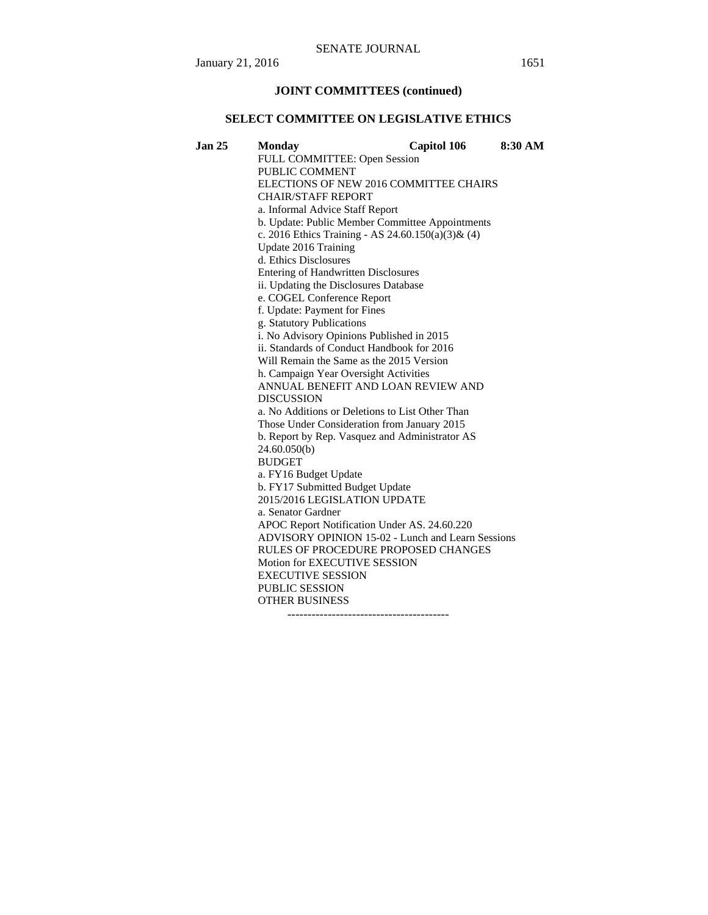#### **JOINT COMMITTEES (continued)**

#### **SELECT COMMITTEE ON LEGISLATIVE ETHICS**

**Jan 25 Monday Capitol 106 8:30 AM**  FULL COMMITTEE: Open Session PUBLIC COMMENT ELECTIONS OF NEW 2016 COMMITTEE CHAIRS CHAIR/STAFF REPORT a. Informal Advice Staff Report b. Update: Public Member Committee Appointments c. 2016 Ethics Training - AS 24.60.150(a)(3)& (4) Update 2016 Training d. Ethics Disclosures Entering of Handwritten Disclosures ii. Updating the Disclosures Database e. COGEL Conference Report f. Update: Payment for Fines g. Statutory Publications i. No Advisory Opinions Published in 2015 ii. Standards of Conduct Handbook for 2016 Will Remain the Same as the 2015 Version h. Campaign Year Oversight Activities ANNUAL BENEFIT AND LOAN REVIEW AND DISCUSSION a. No Additions or Deletions to List Other Than Those Under Consideration from January 2015 b. Report by Rep. Vasquez and Administrator AS 24.60.050(b) BUDGET a. FY16 Budget Update b. FY17 Submitted Budget Update 2015/2016 LEGISLATION UPDATE a. Senator Gardner APOC Report Notification Under AS. 24.60.220 ADVISORY OPINION 15-02 - Lunch and Learn Sessions RULES OF PROCEDURE PROPOSED CHANGES Motion for EXECUTIVE SESSION EXECUTIVE SESSION PUBLIC SESSION OTHER BUSINESS

----------------------------------------